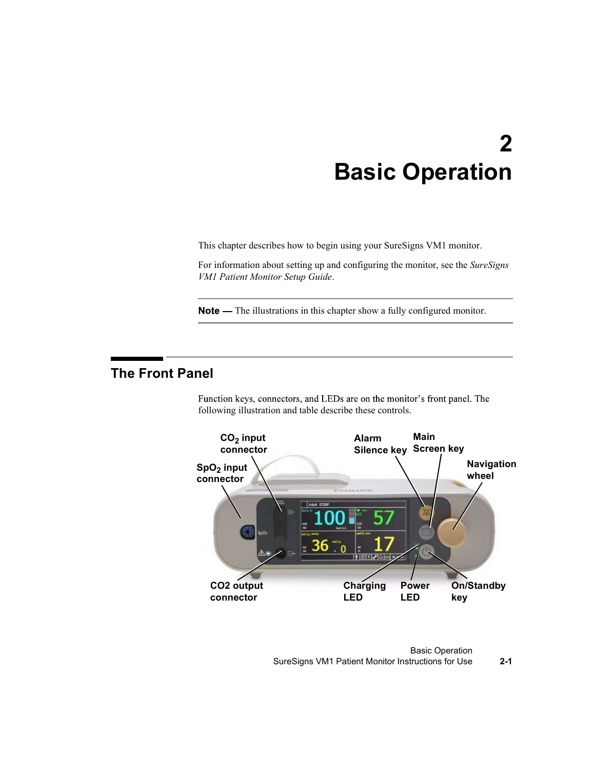# 2 Basic Operation

This chapter describes how to begin using your SureSigns VM1 monitor.

For information about setting up and configuring the monitor, see the SureSigns VM1 Patient Monitor Setup Guide.

Note — The illustrations in this chapter show a fully configured monitor.

## The Front Panel

Function keys, connectors, and LEDs are on the monitor's front panel. The following illustration and table describe these controls.



Basic Operation SureSigns VM1 Patient Monitor Instructions for Use 2-1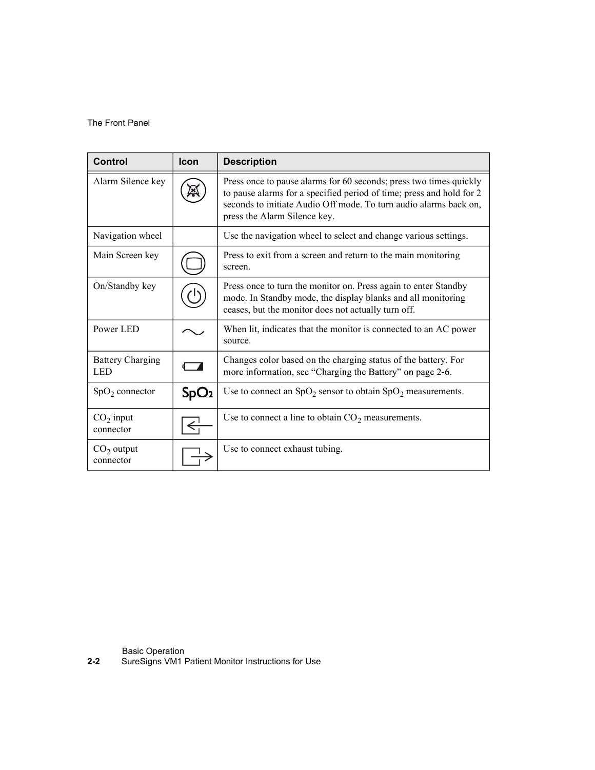#### The Front Panel

| The Front Panel          |                  |                                                                                                                                                                                                                                                 |
|--------------------------|------------------|-------------------------------------------------------------------------------------------------------------------------------------------------------------------------------------------------------------------------------------------------|
|                          |                  |                                                                                                                                                                                                                                                 |
| <b>Control</b>           | <b>Icon</b>      | <b>Description</b>                                                                                                                                                                                                                              |
| Alarm Silence key        | L×.              | Press once to pause alarms for 60 seconds; press two times quickly<br>to pause alarms for a specified period of time; press and hold for 2<br>seconds to initiate Audio Off mode. To turn audio alarms back on,<br>press the Alarm Silence key. |
| Navigation wheel         |                  | Use the navigation wheel to select and change various settings.                                                                                                                                                                                 |
| Main Screen key          |                  | Press to exit from a screen and return to the main monitoring<br>screen.                                                                                                                                                                        |
| On/Standby key           |                  | Press once to turn the monitor on. Press again to enter Standby<br>mode. In Standby mode, the display blanks and all monitoring<br>ceases, but the monitor does not actually turn off.                                                          |
| Power LED                |                  | When lit, indicates that the monitor is connected to an AC power<br>source.                                                                                                                                                                     |
| <b>Battery Charging</b>  |                  | Changes color based on the charging status of the battery. For<br>more information, see "Charging the Battery" on page 2-6.                                                                                                                     |
| <b>LED</b>               |                  |                                                                                                                                                                                                                                                 |
| $SpO2$ connector         | SpO <sub>2</sub> | Use to connect an $SpO2$ sensor to obtain $SpO2$ measurements.                                                                                                                                                                                  |
| $CO2$ input<br>connector |                  | Use to connect a line to obtain $CO2$ measurements.                                                                                                                                                                                             |

Basic Operation **Exercise Servers** and the server of the server of the server of the server of the server of the server of the server of the server of the server of the server of the server of the server of the server of t

2-2 SureSigns VM1 Patient Monitor Instructions for Use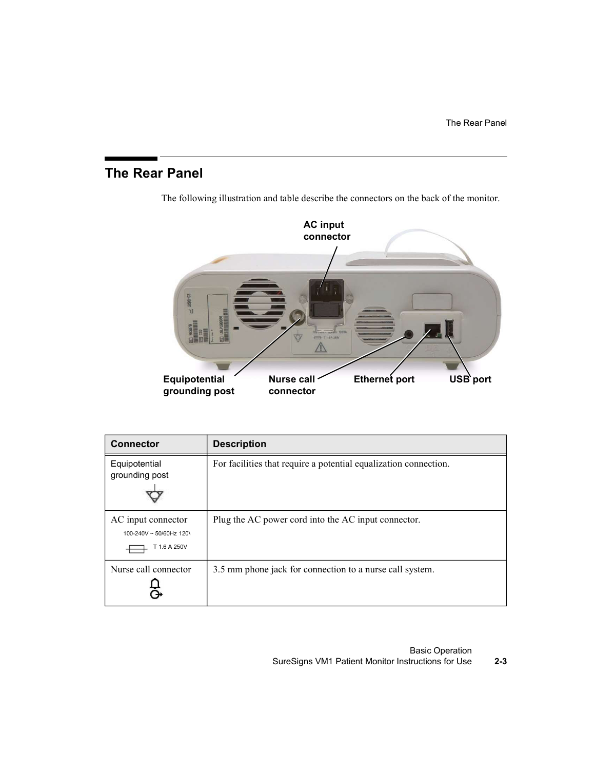# The Rear Panel



The following illustration and table describe the connectors on the back of the monitor.

| 2008-63<br>团<br>Equipotential<br>grounding post               | T15A 250V<br><b>Nurse call</b><br>USB port<br>Ethernet port<br>connector |
|---------------------------------------------------------------|--------------------------------------------------------------------------|
| <b>Connector</b>                                              | <b>Description</b>                                                       |
| Equipotential<br>grounding post                               | For facilities that require a potential equalization connection.         |
| AC input connector<br>100-240V ~ 50/60Hz 120\<br>T 1.6 A 250V | Plug the AC power cord into the AC input connector.                      |
| Nurse call connector                                          | 3.5 mm phone jack for connection to a nurse call system.                 |
|                                                               |                                                                          |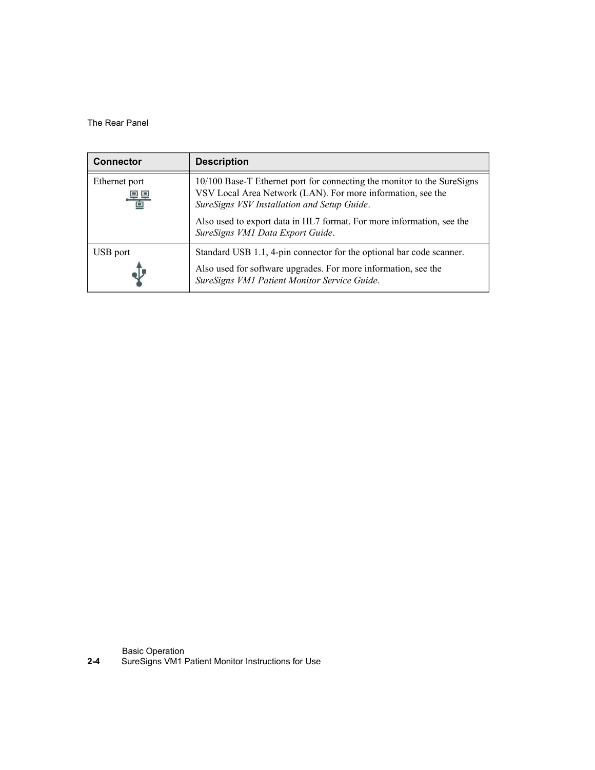| The Rear Panel                    |                                                                                                                                                                                       |
|-----------------------------------|---------------------------------------------------------------------------------------------------------------------------------------------------------------------------------------|
|                                   |                                                                                                                                                                                       |
|                                   |                                                                                                                                                                                       |
|                                   | <b>Description</b>                                                                                                                                                                    |
| <b>Connector</b><br>Ethernet port | 10/100 Base-T Ethernet port for connecting the monitor to the SureSigns<br>VSV Local Area Network (LAN). For more information, see the<br>SureSigns VSV Installation and Setup Guide. |
|                                   | Also used to export data in HL7 format. For more information, see the<br>SureSigns VM1 Data Export Guide.                                                                             |
| <b>USB</b> port                   | Standard USB 1.1, 4-pin connector for the optional bar code scanner.                                                                                                                  |

Basic Operation **Exercise Servers** and the server of the server of the server of the server of the server of the server of the server of the server of the server of the server of the server of the server of the server of t

2-4 SureSigns VM1 Patient Monitor Instructions for Use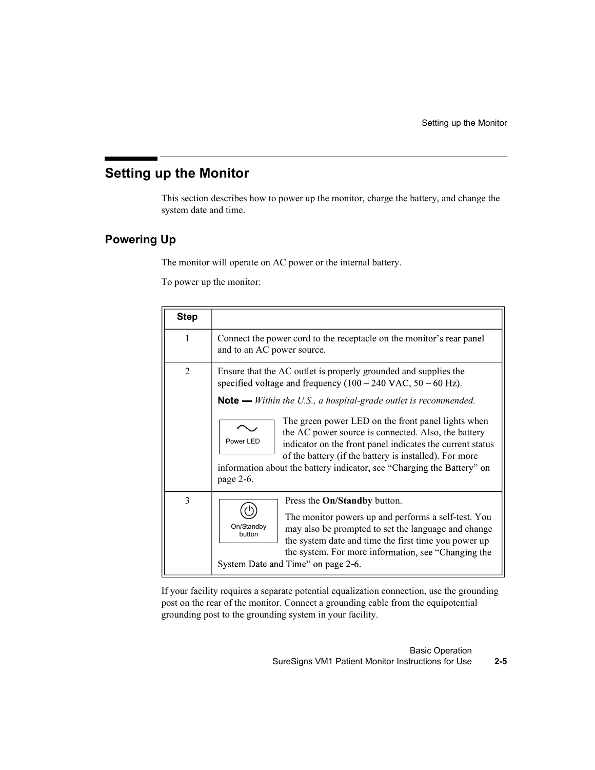# Setting up the Monitor

### Powering Up

|                | Setting up the Monitor                                                                                                                                                                                                                                                                                                                                                                                                                                                                                                                                                        |
|----------------|-------------------------------------------------------------------------------------------------------------------------------------------------------------------------------------------------------------------------------------------------------------------------------------------------------------------------------------------------------------------------------------------------------------------------------------------------------------------------------------------------------------------------------------------------------------------------------|
|                | p the Monitor                                                                                                                                                                                                                                                                                                                                                                                                                                                                                                                                                                 |
|                | This section describes how to power up the monitor, charge the battery, and change the<br>system date and time.                                                                                                                                                                                                                                                                                                                                                                                                                                                               |
| Up             |                                                                                                                                                                                                                                                                                                                                                                                                                                                                                                                                                                               |
|                | The monitor will operate on AC power or the internal battery.<br>To power up the monitor:                                                                                                                                                                                                                                                                                                                                                                                                                                                                                     |
| <b>Step</b>    |                                                                                                                                                                                                                                                                                                                                                                                                                                                                                                                                                                               |
| $\mathbf{1}$   | Connect the power cord to the receptacle on the monitor's rear panel<br>and to an AC power source.                                                                                                                                                                                                                                                                                                                                                                                                                                                                            |
| $\overline{2}$ | Ensure that the AC outlet is properly grounded and supplies the<br>specified voltage and frequency $(100 - 240 \text{ VAC}, 50 - 60 \text{ Hz})$ .<br><b>Note</b> $\text{—}$ Within the U.S., a hospital-grade outlet is recommended.<br>The green power LED on the front panel lights when<br>the AC power source is connected. Also, the battery<br>Power LED<br>indicator on the front panel indicates the current status<br>of the battery (if the battery is installed). For more<br>information about the battery indicator, see "Charging the Battery" on<br>page 2-6. |
| $\mathfrak{Z}$ | Press the On/Standby button.<br>The monitor powers up and performs a self-test. You<br>On/Standby<br>may also be prompted to set the language and change<br>button<br>the system date and time the first time you power up<br>the system. For more information, see "Changing the<br>System Date and Time" on page 2-6.                                                                                                                                                                                                                                                       |

If your facility requires a separate potential equalization connection, use the grounding post on the rear of the monitor. Connect a grounding cable from the equipotential grounding post to the grounding system in your facility.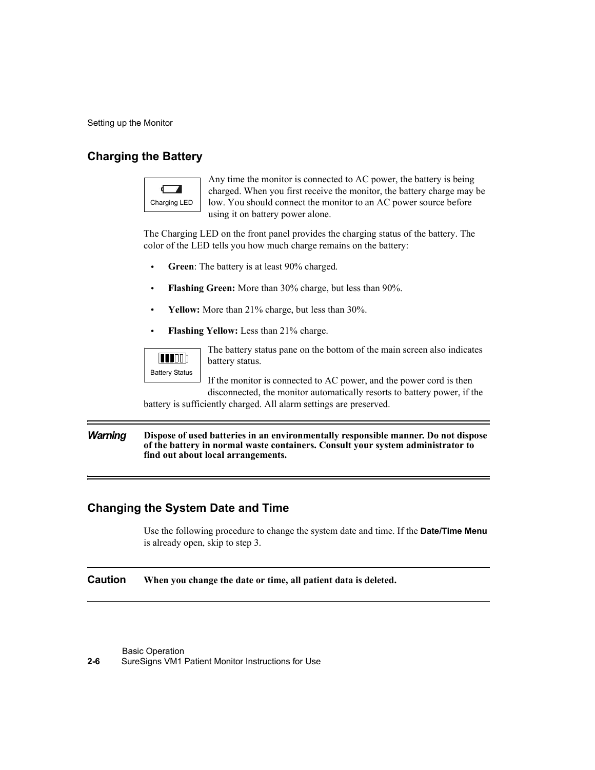Setting up the Monitor

### Charging the Battery



Any time the monitor is connected to AC power, the battery is being charged. When you first receive the monitor, the battery charge may be Charging LED  $\parallel$  low. You should connect the monitor to an AC power source before using it on battery power alone.

The Charging LED on the front panel provides the charging status of the battery. The color of the LED tells you how much charge remains on the battery:

- Green: The battery is at least 90% charged.
- $\bullet$ Flashing Green: More than 30% charge, but less than 90%.
- Yellow: More than 21% charge, but less than 30%.  $\bullet$
- Flashing Yellow: Less than 21% charge.



The battery status pane on the bottom of the main screen also indicates battery status.

If the monitor is connected to AC power, and the power cord is then disconnected, the monitor automatically resorts to battery power, if the

battery is sufficiently charged. All alarm settings are preserved.

#### Warning Dispose of used batteries in an environmentally responsible manner. Do not dispose of the battery in normal waste containers. Consult your system administrator to find out about local arrangements.

#### Changing the System Date and Time

Use the following procedure to change the system date and time. If the **Date/Time Menu** is already open, skip to step 3.

Caution When you change the date or time, all patient data is deleted.

Basic Operation

2-6 SureSigns VM1 Patient Monitor Instructions for Use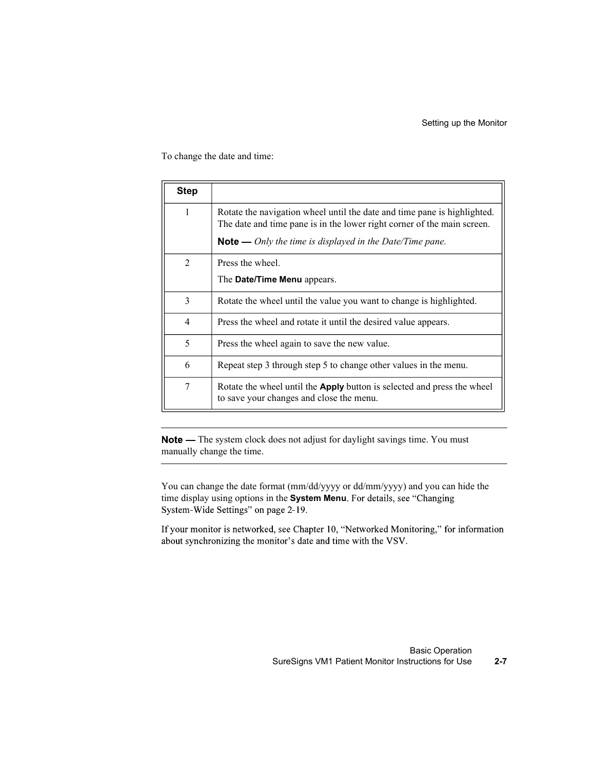|                | Setting up the Monitor                                                                                                                     |
|----------------|--------------------------------------------------------------------------------------------------------------------------------------------|
|                |                                                                                                                                            |
|                | To change the date and time:                                                                                                               |
| <b>Step</b>    |                                                                                                                                            |
|                |                                                                                                                                            |
|                |                                                                                                                                            |
| $\mathbf{1}$   | Rotate the navigation wheel until the date and time pane is highlighted.                                                                   |
|                | The date and time pane is in the lower right corner of the main screen.<br><b>Note</b> — Only the time is displayed in the Date/Time pane. |
| $\overline{2}$ | Press the wheel.                                                                                                                           |
|                | The Date/Time Menu appears.                                                                                                                |
| 3              | Rotate the wheel until the value you want to change is highlighted.                                                                        |
| 4              | Press the wheel and rotate it until the desired value appears.                                                                             |
| 5              | Press the wheel again to save the new value.                                                                                               |
| 6              | Repeat step 3 through step 5 to change other values in the menu.                                                                           |

Note — The system clock does not adjust for daylight savings time. You must manually change the time.

You can change the date format (mm/dd/yyyy or dd/mm/yyyy) and you can hide the time display using options in the System Menu. For details, see "Changing System-Wide Settings" on page 2-19.

If your monitor is networked, see Chapter 10, "Networked Monitoring," for information about synchronizing the monitor's date and time with the VSV.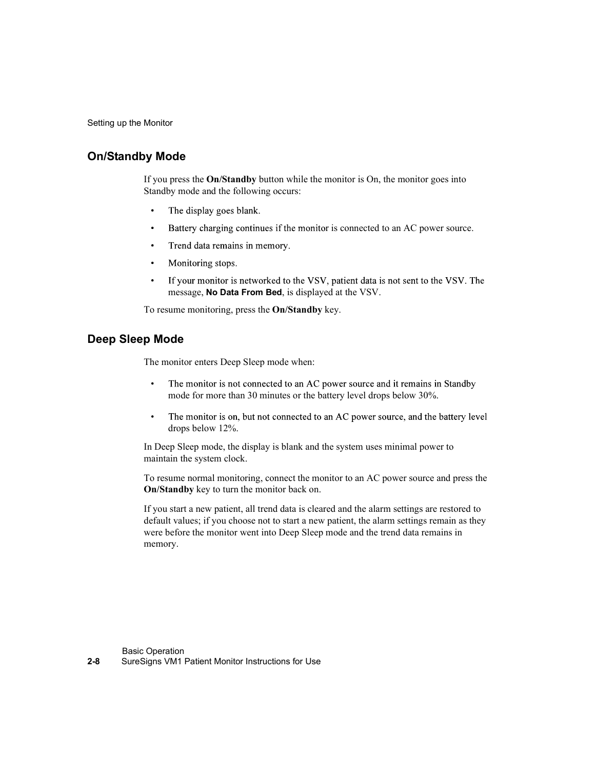Setting up the Monitor

### On/Standby Mode

If you press the On/Standby button while the monitor is On, the monitor goes into Standby mode and the following occurs:

- 
- $\bullet$ Battery charging continues if the monitor is connected to an AC power source.
- $\bullet$
- $\bullet$
- message, No Data From Bed, is displayed at the VSV. **Ode**<br>
press the **On/Standby** button while the monitor is On, the monitor goes into<br>
y mode and the following occurs:<br>
The display goes blank.<br>
Battery charging continues if the monitor is connected to an AC power source.<br> press the **On/Standby** button while the monitor is On, the monitor goes into<br>y mode and the following occurs:<br>The display goes blank.<br>Battery charging continues if the monitor is connected to an AC power source.<br>Tend data

To resume monitoring, press the On/Standby key.

#### Deep Sleep Mode

The monitor enters Deep Sleep mode when:

- 
- $\bullet$

In Deep Sleep mode, the display is blank and the system uses minimal power to maintain the system clock.

To resume normal monitoring, connect the monitor to an AC power source and press the On/Standby key to turn the monitor back on.

If you start a new patient, all trend data is cleared and the alarm settings are restored to default values; if you choose not to start a new patient, the alarm settings remain as they were before the monitor went into Deep Sleep mode and the trend data remains in memory.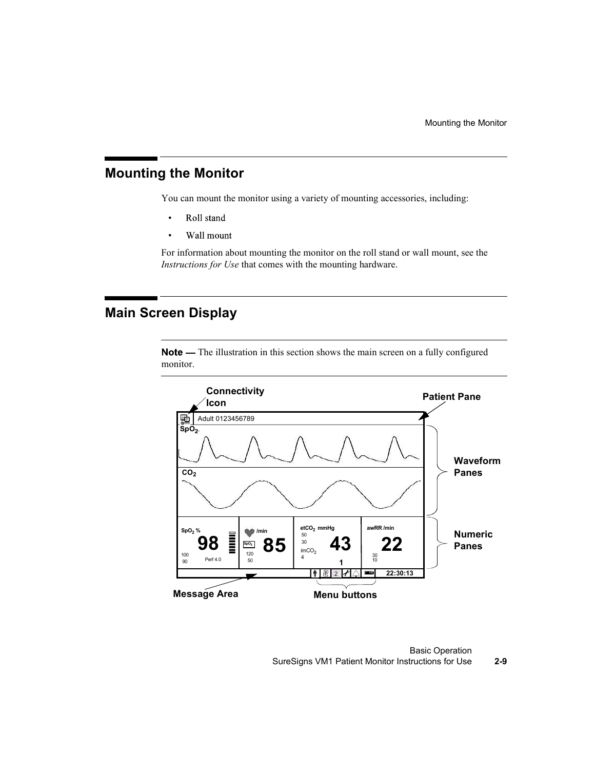### Mounting the Monitor

You can mount the monitor using a variety of mounting accessories, including:

- $\bullet$ Roll stand
- Wall mount  $\bullet$

For information about mounting the monitor on the roll stand or wall mount, see the Instructions for Use that comes with the mounting hardware.

### Main Screen Display

Note — The illustration in this section shows the main screen on a fully configured monitor.



Basic Operation SureSigns VM1 Patient Monitor Instructions for Use 2-9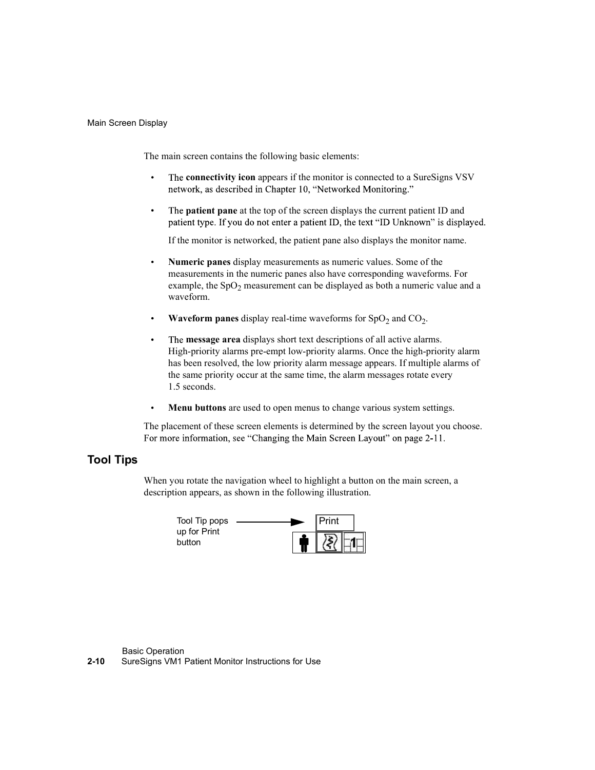#### Main Screen Display

The main screen contains the following basic elements:

- The connectivity icon appears if the monitor is connected to a SureSigns VSV
- The **patient pane** at the top of the screen displays the current patient ID and

If the monitor is networked, the patient pane also displays the monitor name.

- Numeric panes display measurements as numeric values. Some of the measurements in the numeric panes also have corresponding waveforms. For example, the  $SpO<sub>2</sub>$  measurement can be displayed as both a numeric value and a waveform.
- **Waveform panes** display real-time waveforms for  $SpO<sub>2</sub>$  and  $CO<sub>2</sub>$ . .
- ain screen contains the following basic elements:<br>The **connectivity icon** appears if the monitor is connected to a SureSigns VSV<br>network, as described in Chapter 10, "Networked Monitoring."<br>The **patient pane** at the top o The message area displays short text descriptions of all active alarms.  $\bullet$ High-priority alarms pre-empt low-priority alarms. Once the high-priority alarm has been resolved, the low priority alarm message appears. If multiple alarms of the same priority occur at the same time, the alarm messages rotate every
- Menu buttons are used to open menus to change various system settings.

The placement of these screen elements is determined by the screen layout you choose.

### Tool Tips

When you rotate the navigation wheel to highlight a button on the main screen, a description appears, as shown in the following illustration.

| Tool Tip pops          |  | Print |  |
|------------------------|--|-------|--|
| up for Print<br>button |  | 23    |  |

Basic Operation

2-10 SureSigns VM1 Patient Monitor Instructions for Use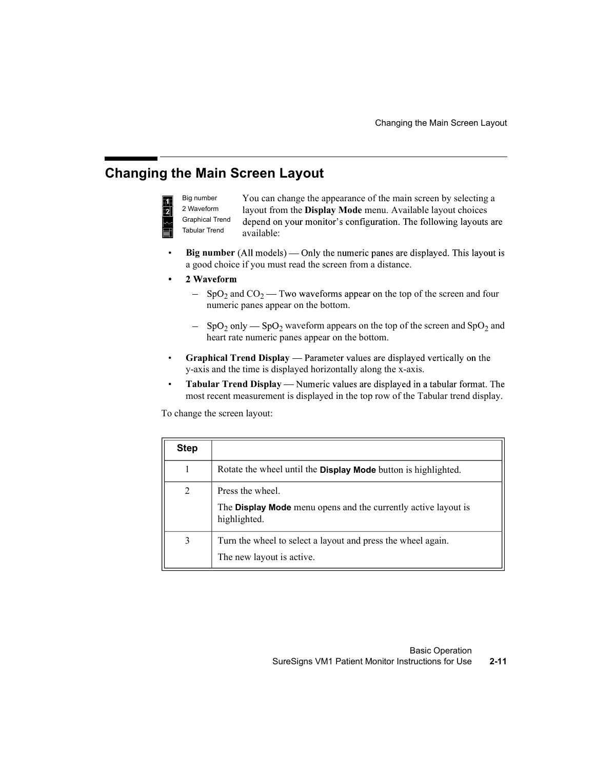## Changing the Main Screen Layout



You can change the appearance of the main screen by selecting a Big number <sup>2</sup> Waveform layout from the **Display Mode** menu. Available layout choices available: **Changing the Main Screen Layout**<br> **Changing the Main Screen Layout**<br> **Changing the appearance of the main screen by selecting a**<br> **n the Display Mode** menu. Available layout choices<br>
your monitor's configuration. The fol Graphical Trend depend on your monitor's configuration. The following layouts are

- Big number (All models) Only the numeric panes are displayed. This layout is  $\bullet$ a good choice if you must read the screen from a distance.
- $\bullet$ 
	- $_2$  and  $CO_2$  Two waveforms appear on the top of the screen and four numeric panes appear on the bottom.
	- $_2$  only SpO<sub>2</sub> waveform appears on the top of the screen and SpO<sub>2</sub> and heart rate numeric panes appear on the bottom.
- Graphical Trend Display Parameter values are displayed vertically on the  $\bullet$ y-axis and the time is displayed horizontally along the x-axis.
- Tabular Trend Display Numeric values are displayed in a tabular format. The  $\bullet$ most recent measurement is displayed in the top row of the Tabular trend display.

| <b>Tabular Trend</b> | <b>Graphical Trend</b> | depend on your monitor's configuration. The following layouts are<br>available:                                                                                    |
|----------------------|------------------------|--------------------------------------------------------------------------------------------------------------------------------------------------------------------|
|                      |                        | <b>Big number</b> (All models) — Only the numeric panes are displayed. This layout is<br>a good choice if you must read the screen from a distance.                |
|                      | 2 Waveform             |                                                                                                                                                                    |
|                      |                        | $SpO2$ and $CO2$ — Two waveforms appear on the top of the screen and four<br>numeric panes appear on the bottom.                                                   |
|                      |                        | $SpO2$ only — SpO <sub>2</sub> waveform appears on the top of the screen and SpO <sub>2</sub> and<br>heart rate numeric panes appear on the bottom.                |
|                      |                        | Graphical Trend Display — Parameter values are displayed vertically on the<br>y-axis and the time is displayed horizontally along the x-axis.                      |
|                      |                        |                                                                                                                                                                    |
|                      |                        | Tabular Trend Display — Numeric values are displayed in a tabular format. The<br>most recent measurement is displayed in the top row of the Tabular trend display. |
|                      |                        |                                                                                                                                                                    |
|                      |                        | To change the screen layout:                                                                                                                                       |
| <b>Step</b>          |                        |                                                                                                                                                                    |
| $\mathbf{1}$         |                        | Rotate the wheel until the <b>Display Mode</b> button is highlighted.                                                                                              |
| $\overline{2}$       |                        | Press the wheel.                                                                                                                                                   |
|                      |                        | The Display Mode menu opens and the currently active layout is<br>highlighted.                                                                                     |
| $\overline{3}$       |                        | Turn the wheel to select a layout and press the wheel again.                                                                                                       |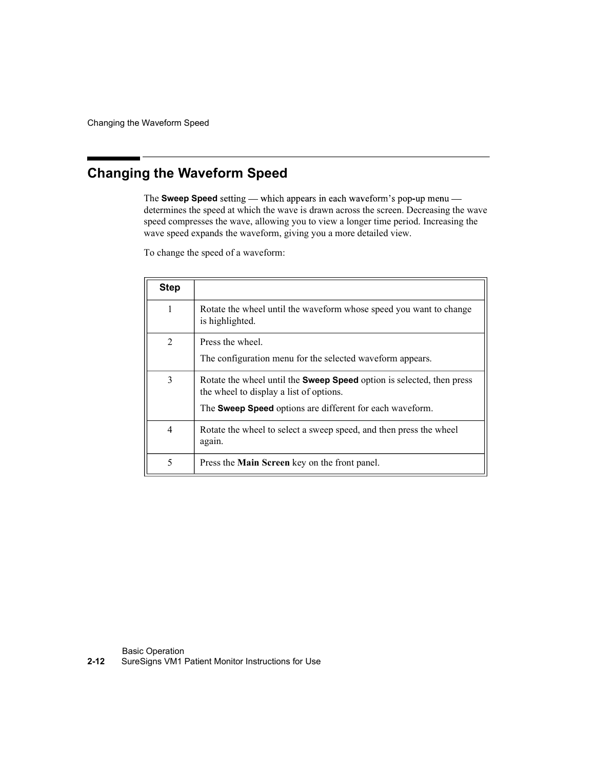Changing the Waveform Speed

# Changing the Waveform Speed

|             | <b>Naveform Speed</b>                                                                                                                                                                                                                                                                                                           |
|-------------|---------------------------------------------------------------------------------------------------------------------------------------------------------------------------------------------------------------------------------------------------------------------------------------------------------------------------------|
|             |                                                                                                                                                                                                                                                                                                                                 |
|             | g the Waveform Speed                                                                                                                                                                                                                                                                                                            |
|             | The Sweep Speed setting — which appears in each waveform's pop-up menu —<br>determines the speed at which the wave is drawn across the screen. Decreasing the wave<br>speed compresses the wave, allowing you to view a longer time period. Increasing the<br>wave speed expands the waveform, giving you a more detailed view. |
|             | To change the speed of a waveform:                                                                                                                                                                                                                                                                                              |
|             |                                                                                                                                                                                                                                                                                                                                 |
| <b>Step</b> |                                                                                                                                                                                                                                                                                                                                 |
| 1           | Rotate the wheel until the waveform whose speed you want to change<br>is highlighted.                                                                                                                                                                                                                                           |
| 2           | Press the wheel.                                                                                                                                                                                                                                                                                                                |
|             | The configuration menu for the selected waveform appears.                                                                                                                                                                                                                                                                       |
| 3           | Rotate the wheel until the <b>Sweep Speed</b> option is selected, then press<br>the wheel to display a list of options.                                                                                                                                                                                                         |
|             | The Sweep Speed options are different for each waveform.                                                                                                                                                                                                                                                                        |
| 4           | Rotate the wheel to select a sweep speed, and then press the wheel<br>again.                                                                                                                                                                                                                                                    |

Basic Operation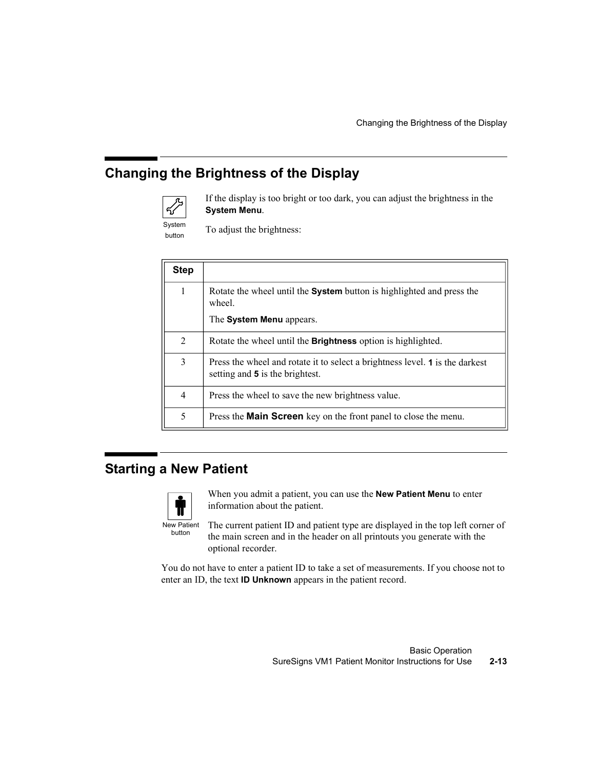# Changing the Brightness of the Display



|             | Changing the Brightness of the Display                                                                          |
|-------------|-----------------------------------------------------------------------------------------------------------------|
|             | g the Brightness of the Display                                                                                 |
|             | If the display is too bright or too dark, you can adjust the brightness in the<br>System Menu.                  |
|             | To adjust the brightness:                                                                                       |
| <b>Step</b> |                                                                                                                 |
|             | Rotate the wheel until the System button is highlighted and press the<br>wheel.                                 |
|             | The System Menu appears.                                                                                        |
|             | Rotate the wheel until the Brightness option is highlighted.                                                    |
|             | Press the wheel and rotate it to select a brightness level. 1 is the darkest<br>setting and 5 is the brightest. |
|             | Press the wheel to save the new brightness value.                                                               |
|             |                                                                                                                 |

### Starting a New Patient



When you admit a patient, you can use the **New Patient Menu** to enter information about the patient.

New Patient The current patient ID and patient type are displayed in the top left corner of the main screen and in the header on all printouts you generate with the optional recorder.

You do not have to enter a patient ID to take a set of measurements. If you choose not to enter an ID, the text ID Unknown appears in the patient record.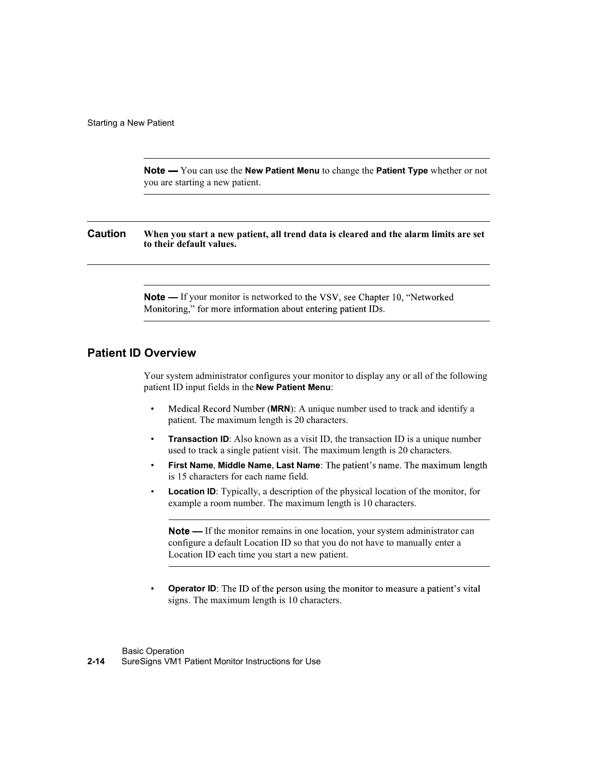Note - You can use the New Patient Menu to change the Patient Type whether or not you are starting a new patient.

Caution When you start a new patient, all trend data is cleared and the alarm limits are set to their default values.

> **Note** — If your monitor is networked to the VSV, see Chapter 10, "Networked" Monitoring," for more information about entering patient IDs.

### Patient ID Overview

Your system administrator configures your monitor to display any or all of the following patient ID input fields in the New Patient Menu:

- Medical Record Number (MRN): A unique number used to track and identify a patient. The maximum length is 20 characters.
- Transaction ID: Also known as a visit ID, the transaction ID is a unique number used to track a single patient visit. The maximum length is 20 characters.
- First Name, Middle Name, Last Name: The patient's name. The maximum length is 15 characters for each name field.
- Location ID: Typically, a description of the physical location of the monitor, for example a room number. The maximum length is 10 characters.

**Note** — If the monitor remains in one location, your system administrator can configure a default Location ID so that you do not have to manually enter a Location ID each time you start a new patient.

Operator ID: The ID of the person using the monitor to measure a patient's vital signs. The maximum length is 10 characters.

Basic Operation 2-14 SureSigns VM1 Patient Monitor Instructions for Use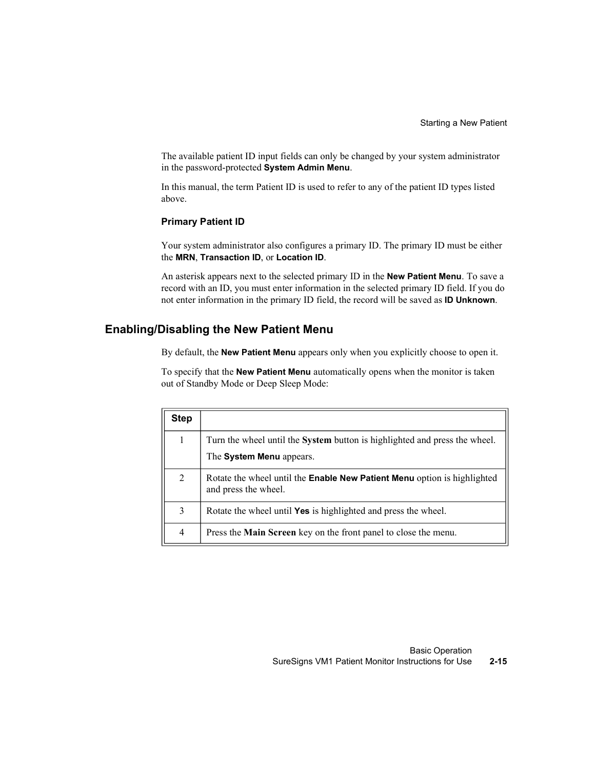The available patient ID input fields can only be changed by your system administrator in the password-protected System Admin Menu.

In this manual, the term Patient ID is used to refer to any of the patient ID types listed above.

#### Primary Patient ID

### Enabling/Disabling the New Patient Menu

|                | <b>Primary Patient ID</b>                                                                                                                                                                                                                                                     |
|----------------|-------------------------------------------------------------------------------------------------------------------------------------------------------------------------------------------------------------------------------------------------------------------------------|
|                | Your system administrator also configures a primary ID. The primary ID must be either<br>the MRN, Transaction ID, or Location ID.                                                                                                                                             |
|                | An asterisk appears next to the selected primary ID in the New Patient Menu. To save a<br>record with an ID, you must enter information in the selected primary ID field. If you do<br>not enter information in the primary ID field, the record will be saved as ID Unknown. |
|                | Disabling the New Patient Menu                                                                                                                                                                                                                                                |
|                |                                                                                                                                                                                                                                                                               |
|                | By default, the <b>New Patient Menu</b> appears only when you explicitly choose to open it.                                                                                                                                                                                   |
|                | To specify that the New Patient Menu automatically opens when the monitor is taken<br>out of Standby Mode or Deep Sleep Mode:                                                                                                                                                 |
| <b>Step</b>    |                                                                                                                                                                                                                                                                               |
| 1              | Turn the wheel until the System button is highlighted and press the wheel.                                                                                                                                                                                                    |
|                | The System Menu appears.                                                                                                                                                                                                                                                      |
| $\overline{2}$ | Rotate the wheel until the Enable New Patient Menu option is highlighted<br>and press the wheel.                                                                                                                                                                              |
| 3              | Rotate the wheel until Yes is highlighted and press the wheel.                                                                                                                                                                                                                |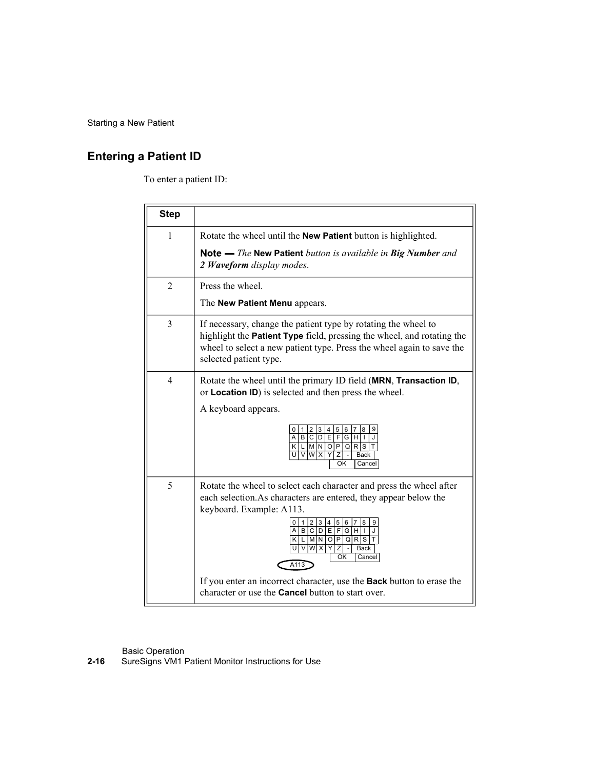# Entering a Patient ID

To enter a patient ID:

| Patient                |                                                                                                                                                                                                                                                                                               |
|------------------------|-----------------------------------------------------------------------------------------------------------------------------------------------------------------------------------------------------------------------------------------------------------------------------------------------|
| <b>Patient ID</b>      |                                                                                                                                                                                                                                                                                               |
| To enter a patient ID: |                                                                                                                                                                                                                                                                                               |
|                        |                                                                                                                                                                                                                                                                                               |
| <b>Step</b>            |                                                                                                                                                                                                                                                                                               |
| $\mathbf{1}$           | Rotate the wheel until the New Patient button is highlighted.                                                                                                                                                                                                                                 |
|                        | Note - The New Patient button is available in Big Number and<br>2 Waveform display modes.                                                                                                                                                                                                     |
| $\overline{2}$         | Press the wheel.                                                                                                                                                                                                                                                                              |
|                        | The New Patient Menu appears.                                                                                                                                                                                                                                                                 |
| 3                      | If necessary, change the patient type by rotating the wheel to<br>highlight the Patient Type field, pressing the wheel, and rotating the<br>wheel to select a new patient type. Press the wheel again to save the<br>selected patient type.                                                   |
| $\overline{4}$         | Rotate the wheel until the primary ID field (MRN, Transaction ID,<br>or Location ID) is selected and then press the wheel.                                                                                                                                                                    |
|                        | A keyboard appears.                                                                                                                                                                                                                                                                           |
|                        | 56<br>4<br>$\overline{7}$<br>8<br>2<br>3<br>$A \mid B \mid C \mid D$<br>Е<br>F<br>G<br>$KL[M]N[O]P[Q]R[S]T$<br>UVWX<br>Y<br>Z<br><b>Back</b><br>OK<br>Cancel                                                                                                                                  |
| 5                      | Rotate the wheel to select each character and press the wheel after<br>each selection. As characters are entered, they appear below the<br>keyboard. Example: A113.<br>0 1 2 3 4 5 6<br>A B C D E F G H I<br>K L M N O P Q R S T<br>U V W X <br>Y<br>Z<br><b>Back</b><br>OK<br>Cancel<br>A113 |
|                        | If you enter an incorrect character, use the Back button to erase the<br>character or use the <b>Cancel</b> button to start over.                                                                                                                                                             |

Basic Operation **Exercise Servers** and the server of the server of the server of the server of the server of the server of the server of the server of the server of the server of the server of the server of the server of t

2-16 SureSigns VM1 Patient Monitor Instructions for Use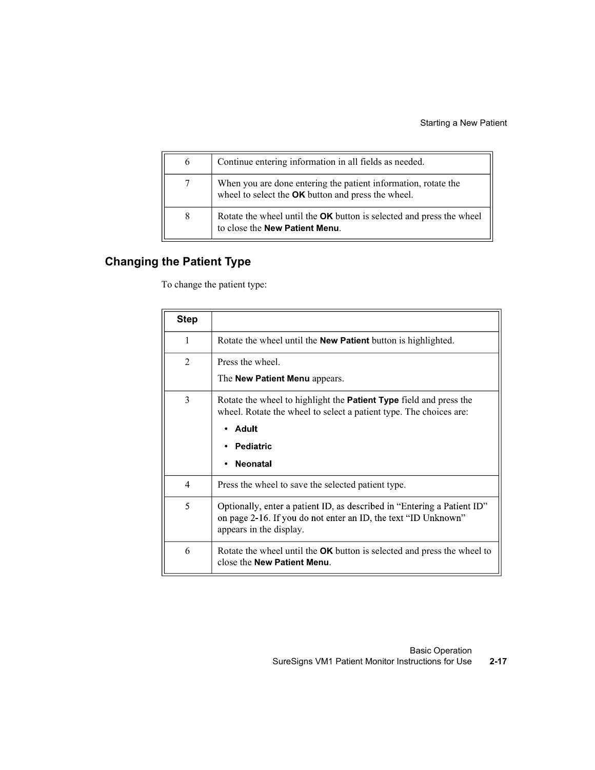|                | Starting a New Patient                                                                                               |
|----------------|----------------------------------------------------------------------------------------------------------------------|
|                |                                                                                                                      |
| 6              | Continue entering information in all fields as needed.                                                               |
| $\overline{7}$ | When you are done entering the patient information, rotate the<br>wheel to select the OK button and press the wheel. |

# Changing the Patient Type

|                | <b>Starting a New Patient</b>                                                                                                                                        |
|----------------|----------------------------------------------------------------------------------------------------------------------------------------------------------------------|
| 6              | Continue entering information in all fields as needed.                                                                                                               |
| 7              | When you are done entering the patient information, rotate the<br>wheel to select the OK button and press the wheel.                                                 |
| 8              | Rotate the wheel until the OK button is selected and press the wheel<br>to close the <b>New Patient Menu</b> .                                                       |
|                | the Patient Type<br>To change the patient type:                                                                                                                      |
| <b>Step</b>    |                                                                                                                                                                      |
| 1              | Rotate the wheel until the <b>New Patient</b> button is highlighted.                                                                                                 |
|                |                                                                                                                                                                      |
| $\overline{2}$ | Press the wheel.                                                                                                                                                     |
|                | The New Patient Menu appears.                                                                                                                                        |
| 3              | Rotate the wheel to highlight the <b>Patient Type</b> field and press the<br>wheel. Rotate the wheel to select a patient type. The choices are:                      |
|                | <b>Adult</b><br>٠                                                                                                                                                    |
|                | <b>Pediatric</b>                                                                                                                                                     |
|                | <b>Neonatal</b>                                                                                                                                                      |
| $\overline{4}$ | Press the wheel to save the selected patient type.                                                                                                                   |
| 5              | Optionally, enter a patient ID, as described in "Entering a Patient ID"<br>on page 2-16. If you do not enter an ID, the text "ID Unknown"<br>appears in the display. |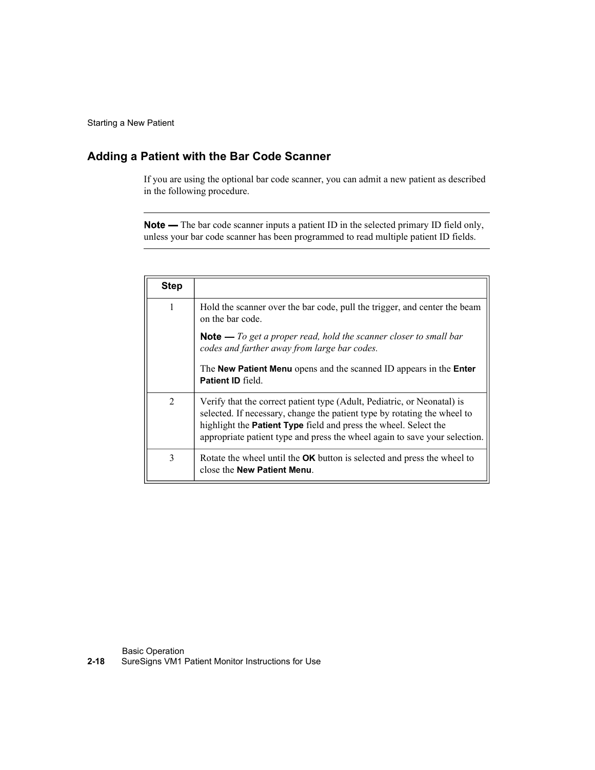### Adding a Patient with the Bar Code Scanner

| Patient        |                                                                                                                                                                                                                                                                                                       |
|----------------|-------------------------------------------------------------------------------------------------------------------------------------------------------------------------------------------------------------------------------------------------------------------------------------------------------|
|                |                                                                                                                                                                                                                                                                                                       |
|                | Patient with the Bar Code Scanner                                                                                                                                                                                                                                                                     |
|                | If you are using the optional bar code scanner, you can admit a new patient as described<br>in the following procedure.                                                                                                                                                                               |
|                | <b>Note</b> — The bar code scanner inputs a patient ID in the selected primary ID field only,<br>unless your bar code scanner has been programmed to read multiple patient ID fields.                                                                                                                 |
|                |                                                                                                                                                                                                                                                                                                       |
| <b>Step</b>    |                                                                                                                                                                                                                                                                                                       |
| 1              | Hold the scanner over the bar code, pull the trigger, and center the beam<br>on the bar code.                                                                                                                                                                                                         |
|                | <b>Note</b> $-$ To get a proper read, hold the scanner closer to small bar<br>codes and farther away from large bar codes.                                                                                                                                                                            |
|                | The New Patient Menu opens and the scanned ID appears in the Enter<br>Patient ID field                                                                                                                                                                                                                |
|                |                                                                                                                                                                                                                                                                                                       |
| $\overline{2}$ | Verify that the correct patient type (Adult, Pediatric, or Neonatal) is<br>selected. If necessary, change the patient type by rotating the wheel to<br>highlight the Patient Type field and press the wheel. Select the<br>appropriate patient type and press the wheel again to save your selection. |

Basic Operation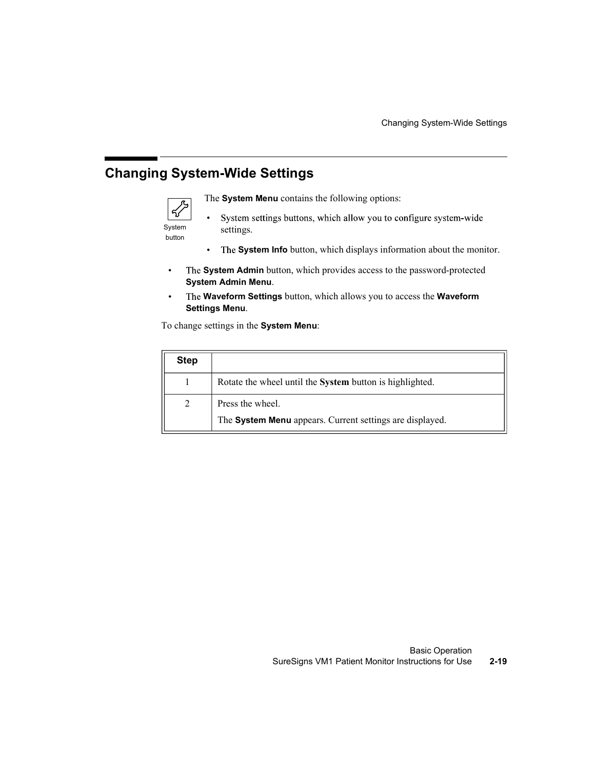# Changing System-Wide Settings



- System settings.
	- The System Info button, which displays information about the monitor.
- $\bullet$ The System Admin button, which provides access to the password-protected System Admin Menu.
- The Waveform Settings button, which allows you to access the Waveform  $\bullet$ Settings Menu.

|                  | g System-Wide Settings                                                                                       |
|------------------|--------------------------------------------------------------------------------------------------------------|
|                  | The System Menu contains the following options:                                                              |
| System<br>button | System settings buttons, which allow you to configure system-wide<br>$\bullet$<br>settings.                  |
|                  | The System Info button, which displays information about the monitor.<br>٠                                   |
|                  |                                                                                                              |
|                  | The <b>System Admin</b> button, which provides access to the password-protected<br><b>System Admin Menu.</b> |
|                  | The Waveform Settings button, which allows you to access the Waveform<br><b>Settings Menu.</b>               |
|                  | To change settings in the System Menu:                                                                       |
| <b>Step</b>      |                                                                                                              |
| 1                | Rotate the wheel until the System button is highlighted.                                                     |
| $\overline{2}$   | Press the wheel.                                                                                             |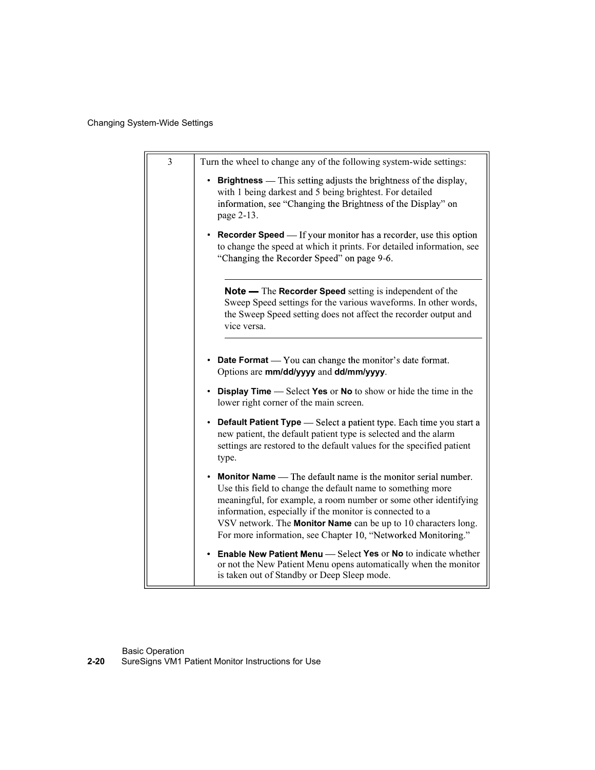### Changing System-Wide Settings

| em-Wide Settings |                                                                                                                                                                                                                                                                                                                                                                                                        |
|------------------|--------------------------------------------------------------------------------------------------------------------------------------------------------------------------------------------------------------------------------------------------------------------------------------------------------------------------------------------------------------------------------------------------------|
|                  |                                                                                                                                                                                                                                                                                                                                                                                                        |
| 3                | Turn the wheel to change any of the following system-wide settings:<br><b>Brightness</b> — This setting adjusts the brightness of the display,<br>with 1 being darkest and 5 being brightest. For detailed<br>information, see "Changing the Brightness of the Display" on<br>page 2-13.                                                                                                               |
|                  | <b>Recorder Speed</b> — If your monitor has a recorder, use this option<br>to change the speed at which it prints. For detailed information, see<br>"Changing the Recorder Speed" on page 9-6.                                                                                                                                                                                                         |
|                  | Note — The Recorder Speed setting is independent of the<br>Sweep Speed settings for the various waveforms. In other words,<br>the Sweep Speed setting does not affect the recorder output and<br>vice versa.                                                                                                                                                                                           |
|                  | • Date Format — You can change the monitor's date format.<br>Options are mm/dd/yyyy and dd/mm/yyyy.                                                                                                                                                                                                                                                                                                    |
|                  | <b>Display Time —</b> Select Yes or No to show or hide the time in the<br>lower right corner of the main screen.                                                                                                                                                                                                                                                                                       |
|                  | <b>Default Patient Type</b> — Select a patient type. Each time you start a<br>new patient, the default patient type is selected and the alarm<br>settings are restored to the default values for the specified patient<br>type.                                                                                                                                                                        |
|                  | <b>Monitor Name</b> — The default name is the monitor serial number.<br>Use this field to change the default name to something more<br>meaningful, for example, a room number or some other identifying<br>information, especially if the monitor is connected to a<br>VSV network. The Monitor Name can be up to 10 characters long.<br>For more information, see Chapter 10, "Networked Monitoring." |
|                  | Enable New Patient Menu - Select Yes or No to indicate whether<br>or not the New Patient Menu opens automatically when the monitor<br>is taken out of Standby or Deep Sleep mode.                                                                                                                                                                                                                      |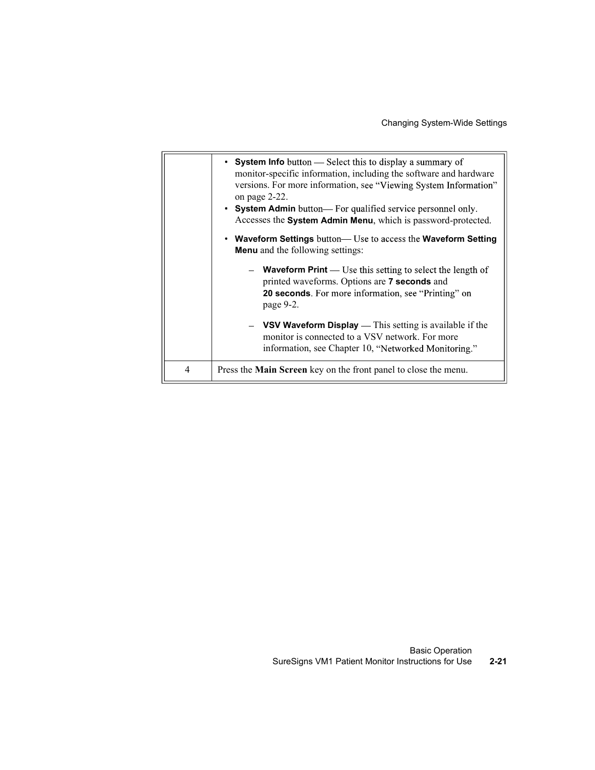|   | <b>Changing System-Wide Settings</b>                                                                                                                                                                                                                                                                                                                 |
|---|------------------------------------------------------------------------------------------------------------------------------------------------------------------------------------------------------------------------------------------------------------------------------------------------------------------------------------------------------|
|   | • System Info button - Select this to display a summary of<br>monitor-specific information, including the software and hardware<br>versions. For more information, see "Viewing System Information"<br>on page 2-22.<br>• System Admin button— For qualified service personnel only.<br>Accesses the System Admin Menu, which is password-protected. |
|   | • Waveform Settings button- Use to access the Waveform Setting<br><b>Menu</b> and the following settings:                                                                                                                                                                                                                                            |
|   | - Waveform Print - Use this setting to select the length of<br>printed waveforms. Options are 7 seconds and<br>20 seconds. For more information, see "Printing" on<br>page 9-2.                                                                                                                                                                      |
|   | VSV Waveform Display — This setting is available if the<br>monitor is connected to a VSV network. For more<br>information, see Chapter 10, "Networked Monitoring."                                                                                                                                                                                   |
| 4 | Press the Main Screen key on the front panel to close the menu.                                                                                                                                                                                                                                                                                      |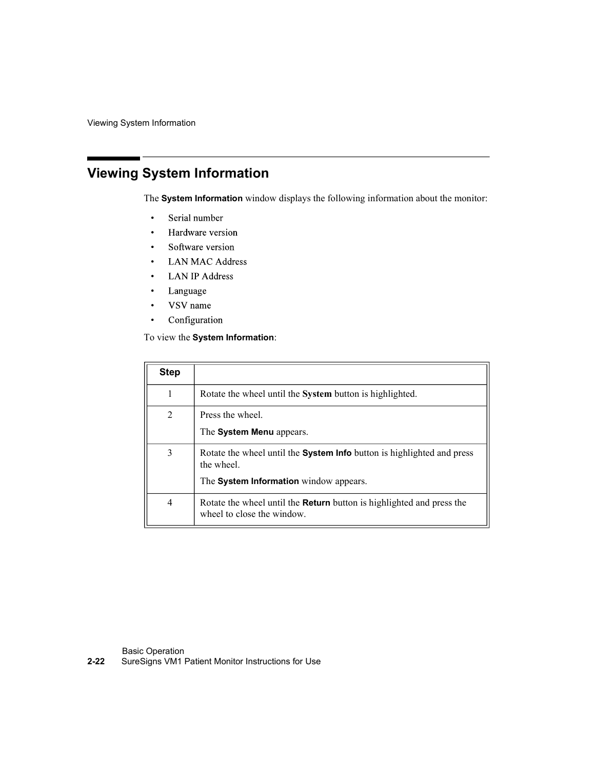Viewing System Information

# Viewing System Information

- $\bullet$
- $\bullet$
- $\bullet$
- 
- 
- $\bullet$  .
- $\bullet$
- $\ddot{\phantom{0}}$

|                                | The System Information window displays the following information about the monitor:  |
|--------------------------------|--------------------------------------------------------------------------------------|
|                                | Serial number                                                                        |
|                                | Hardware version                                                                     |
|                                | Software version                                                                     |
|                                | <b>LAN MAC Address</b>                                                               |
|                                | <b>LAN IP Address</b>                                                                |
| Language                       |                                                                                      |
| VSV name                       |                                                                                      |
|                                | Configuration                                                                        |
|                                |                                                                                      |
|                                | To view the System Information:                                                      |
|                                |                                                                                      |
|                                |                                                                                      |
|                                | Rotate the wheel until the System button is highlighted.                             |
|                                | Press the wheel.                                                                     |
| $\mathbf{1}$<br>$\overline{2}$ | The System Menu appears.                                                             |
| $\overline{3}$                 | Rotate the wheel until the System Info button is highlighted and press<br>the wheel. |
| <b>Step</b>                    | The System Information window appears.                                               |

Basic Operation

2-22 SureSigns VM1 Patient Monitor Instructions for Use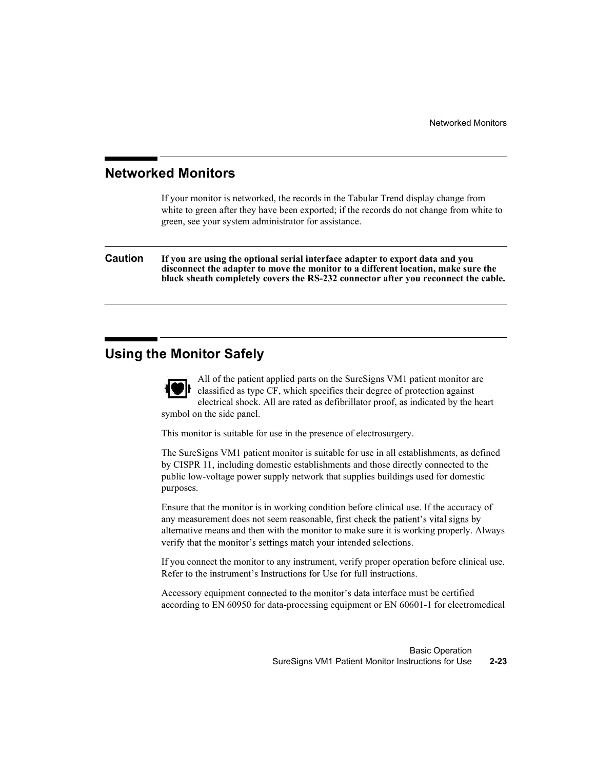### Networked Monitors

If your monitor is networked, the records in the Tabular Trend display change from white to green after they have been exported; if the records do not change from white to green, see your system administrator for assistance.

Caution If you are using the optional serial interface adapter to export data and you disconnect the adapter to move the monitor to a different location, make sure the black sheath completely covers the RS-232 connector after you reconnect the cable.

### Using the Monitor Safely



All of the patient applied parts on the SureSigns VM1 patient monitor are classified as type CF, which specifies their degree of protection against electrical shock. All are rated as defibrillator proof, as indicated by the heart symbol on the side panel.

This monitor is suitable for use in the presence of electrosurgery.

The SureSigns VM1 patient monitor is suitable for use in all establishments, as defined by CISPR 11, including domestic establishments and those directly connected to the public low-voltage power supply network that supplies buildings used for domestic purposes.

Ensure that the monitor is in working condition before clinical use. If the accuracy of any measurement does not seem reasonable, first check the patient's vital signs by alternative means and then with the monitor to make sure it is working properly. Always verify that the monitor's settings match your intended selections.

If you connect the monitor to any instrument, verify proper operation before clinical use. Refer to the instrument's Instructions for Use for full instructions.

Accessory equipment connected to the monitor's data interface must be certified according to EN 60950 for data-processing equipment or EN 60601-1 for electromedical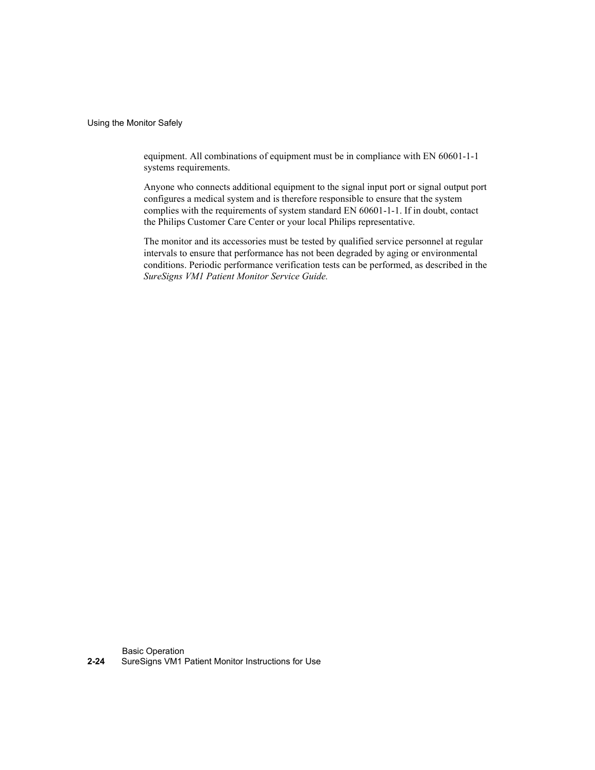Using the Monitor Safely

equipment. All combinations of equipment must be in compliance with EN 60601-1-1 systems requirements.

Anyone who connects additional equipment to the signal input port or signal output port configures a medical system and is therefore responsible to ensure that the system complies with the requirements of system standard EN 60601-1-1. If in doubt, contact the Philips Customer Care Center or your local Philips representative.

The monitor and its accessories must be tested by qualified service personnel at regular intervals to ensure that performance has not been degraded by aging or environmental conditions. Periodic performance verification tests can be performed, as described in the SureSigns VM1 Patient Monitor Service Guide.

Basic Operation 2-24 SureSigns VM1 Patient Monitor Instructions for Use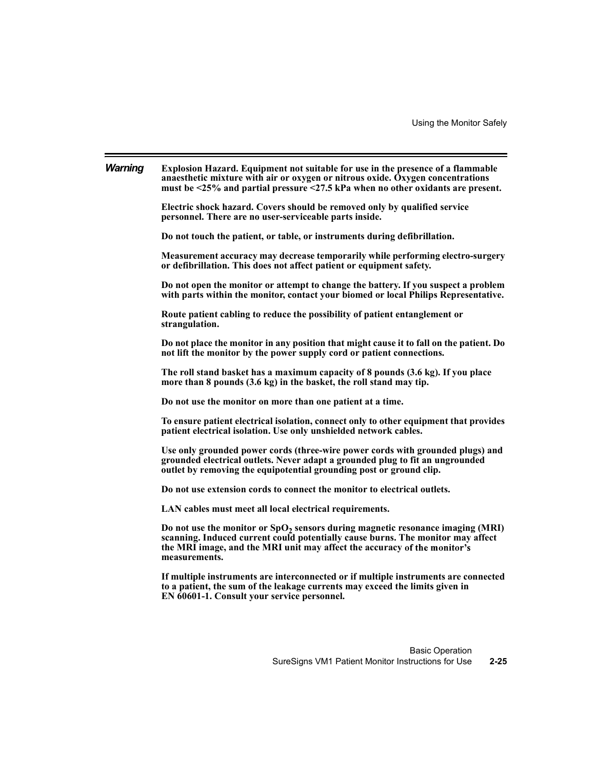| <b>Warning</b> | Explosion Hazard. Equipment not suitable for use in the presence of a flammable<br>anaesthetic mixture with air or oxygen or nitrous oxide. Oxygen concentrations<br>must be $\leq$ 25% and partial pressure $\leq$ 27.5 kPa when no other oxidants are present. |          |
|----------------|------------------------------------------------------------------------------------------------------------------------------------------------------------------------------------------------------------------------------------------------------------------|----------|
|                | Electric shock hazard. Covers should be removed only by qualified service<br>personnel. There are no user-serviceable parts inside.                                                                                                                              |          |
|                | Do not touch the patient, or table, or instruments during defibrillation.                                                                                                                                                                                        |          |
|                | Measurement accuracy may decrease temporarily while performing electro-surgery<br>or defibrillation. This does not affect patient or equipment safety.                                                                                                           |          |
|                | Do not open the monitor or attempt to change the battery. If you suspect a problem<br>with parts within the monitor, contact your biomed or local Philips Representative.                                                                                        |          |
|                | Route patient cabling to reduce the possibility of patient entanglement or<br>strangulation.                                                                                                                                                                     |          |
|                | Do not place the monitor in any position that might cause it to fall on the patient. Do<br>not lift the monitor by the power supply cord or patient connections.                                                                                                 |          |
|                | The roll stand basket has a maximum capacity of 8 pounds (3.6 kg). If you place<br>more than 8 pounds (3.6 kg) in the basket, the roll stand may tip.                                                                                                            |          |
|                | Do not use the monitor on more than one patient at a time.                                                                                                                                                                                                       |          |
|                | To ensure patient electrical isolation, connect only to other equipment that provides<br>patient electrical isolation. Use only unshielded network cables.                                                                                                       |          |
|                | Use only grounded power cords (three-wire power cords with grounded plugs) and<br>grounded electrical outlets. Never adapt a grounded plug to fit an ungrounded<br>outlet by removing the equipotential grounding post or ground clip.                           |          |
|                | Do not use extension cords to connect the monitor to electrical outlets.                                                                                                                                                                                         |          |
|                | LAN cables must meet all local electrical requirements.                                                                                                                                                                                                          |          |
|                | Do not use the monitor or $SpO2$ sensors during magnetic resonance imaging (MRI)<br>scanning. Induced current could potentially cause burns. The monitor may affect<br>the MRI image, and the MRI unit may affect the accuracy of the monitor's<br>measurements. |          |
|                | If multiple instruments are interconnected or if multiple instruments are connected<br>to a patient, the sum of the leakage currents may exceed the limits given in<br>EN 60601-1. Consult your service personnel.                                               |          |
|                |                                                                                                                                                                                                                                                                  |          |
|                | <b>Basic Operation</b>                                                                                                                                                                                                                                           |          |
|                | SureSigns VM1 Patient Monitor Instructions for Use                                                                                                                                                                                                               | $2 - 25$ |
|                |                                                                                                                                                                                                                                                                  |          |